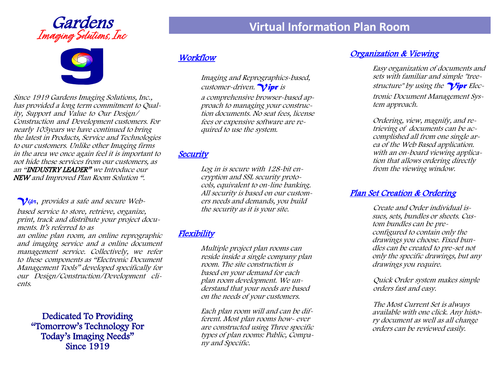# **Gardens**<br>*Imaging Solutions, Inc*



Since 1919 Gardens Imaging Solutions, Inc., has provided a long term commitment to Quality, Support and Value to Our Design/ Construction and Development customers. For nearly 103years we have continued to bring the latest in Products, Service and Technologies to our customers. Unlike other Imaging firms in the area we once again feel it is important to not hide these services from our customers, as an "INDUSTRY LEADER" we Introduce our NEW and Improved Plan Room Solution ".

#### *Vipr*, provides a safe and secure Web-

based service to store, retrieve, organize, print, track and distribute your project documents. It's referred to as

an online plan room, an online reprographic and imaging service and <sup>a</sup> online document management service. Collectively, we refer to these components as "Electronic Document Management Tools" developed specifically for our Design/Construction/Development clients.

Dedicated To Providing "Tomorrow's Technology For Today's Imaging Needs" Since 1919

# **Workflow**

Imaging and Reprographics-based, customer-driven.  $\gamma$ ipr is

a comprehensive browser-based approach to managing your construction documents. No seat fees, license fees or expensive software are required to use the system.

#### **Security**

Log in is secure with 128-bit encryption and SSL security protocols, equivalent to on-line banking. All security is based on our customers needs and demands, you build the security as it is your site.

### **Flexibility**

Multiple project plan rooms can reside inside a single company plan room. The site construction is based on your demand for each plan room development. We understand that your needs are based on the needs of your customers.

Each plan room will and can be different. Most plan rooms how- ever are constructed using Three specific types of plan rooms: Public, Company and Specific.

### Organization & Viewing

Easy organization of documents and sets with familiar and simple "treestructure" by using the  $\gamma$ ipr Electronic Document Management System approach.

Ordering, view, magnify, and retrieving of documents can be accomplished all from one single area of the Web Based application. with an on-board viewing application that allows ordering directly from the viewing window.

#### Plan Set Creation & Ordering

Create and Order individual issues, sets, bundles or sheets. Custom bundles can be preconfigured to contain only the drawings you choose. Fixed bundles can be created to pre-set not only the specific drawings, but any drawings you require.

Quick Order system makes simple orders fast and easy.

The Most Current Set is always available with one click. Any history document as well as all change orders can be reviewed easily.